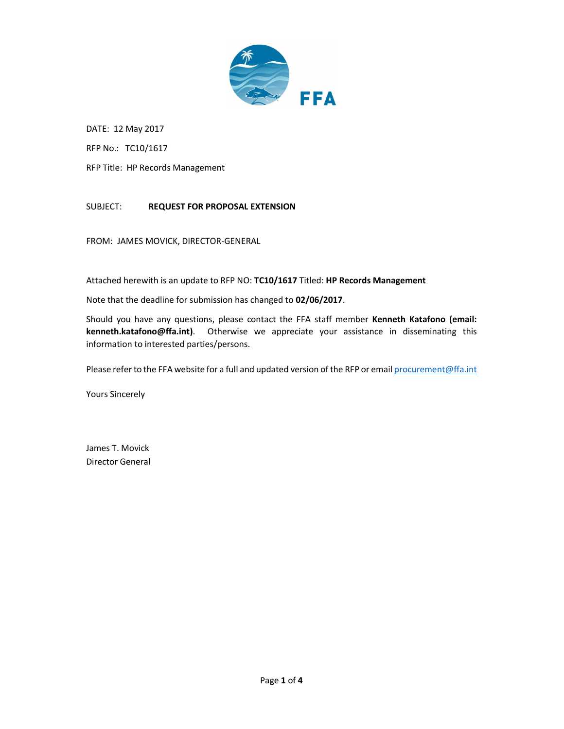

DATE: 12 May 2017 RFP No.: TC10/1617

RFP Title: HP Records Management

# SUBJECT: REQUEST FOR PROPOSAL EXTENSION

FROM: JAMES MOVICK, DIRECTOR-GENERAL

Attached herewith is an update to RFP NO: TC10/1617 Titled: HP Records Management

Note that the deadline for submission has changed to 02/06/2017.<br>Should you have any questions, please contact the FFA staff member Kenneth Katafono (email: kenneth.katafono@ffa.int). Otherwise we appreciate your assistance in disseminating this information to interested parties/persons.

Please refer to the FFA website for a full and updated version of the RFP or email <u>procurement@ffa.int</u><br>Yours Sincerely

James T. Movick Director General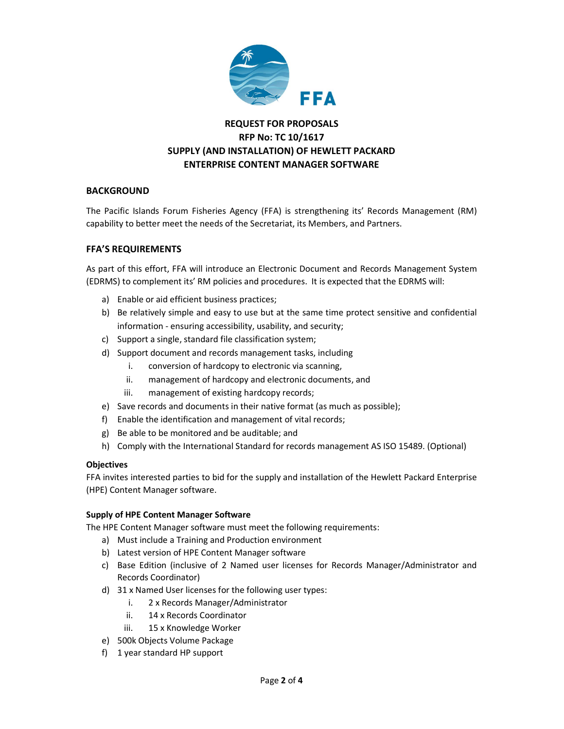

# REQUEST FOR PROPOSALS RFP No: TC 10/1617 SUPPLY (AND INSTALLATION) OF HEWLETT PACKARD ENTERPRISE CONTENT MANAGER SOFTWARE

# **BACKGROUND**

The Pacific Islands Forum Fisheries Agency (FFA) is strengthening its' Records Management (RM) capability to better meet the needs of the Secretariat, its Members, and Partners.

# FFA'S REQUIREMENTS

As part of this effort, FFA will introduce an Electronic Document and Records Management System (EDRMS) to complement its' RM policies and procedures. It is expected that the EDRMS will:

- a) Enable or aid efficient business practices;
- b) Be relatively simple and easy to use but at the same time protect sensitive and confidential information - ensuring accessibility, usability, and security;
- c) Support a single, standard file classification system;
- d) Support document and records management tasks, including
	- i. conversion of hardcopy to electronic via scanning,
	- ii. management of hardcopy and electronic documents, and
	- iii. management of existing hardcopy records;
- e) Save records and documents in their native format (as much as possible);
- f) Enable the identification and management of vital records;
- g) Be able to be monitored and be auditable; and
- h) Comply with the International Standard for records management AS ISO 15489. (Optional)

#### **Objectives**

FFA invites interested parties to bid for the supply and installation of the Hewlett Packard Enterprise (HPE) Content Manager software.

#### Supply of HPE Content Manager Software

The HPE Content Manager software must meet the following requirements:

- a) Must include a Training and Production environment
- b) Latest version of HPE Content Manager software
- c) Base Edition (inclusive of 2 Named user licenses for Records Manager/Administrator and Records Coordinator)
- d) 31 x Named User licenses for the following user types:
	- i. 2 x Records Manager/Administrator
	- ii. 14 x Records Coordinator
	- iii. 15 x Knowledge Worker
- e) 500k Objects Volume Package
- f) 1 year standard HP support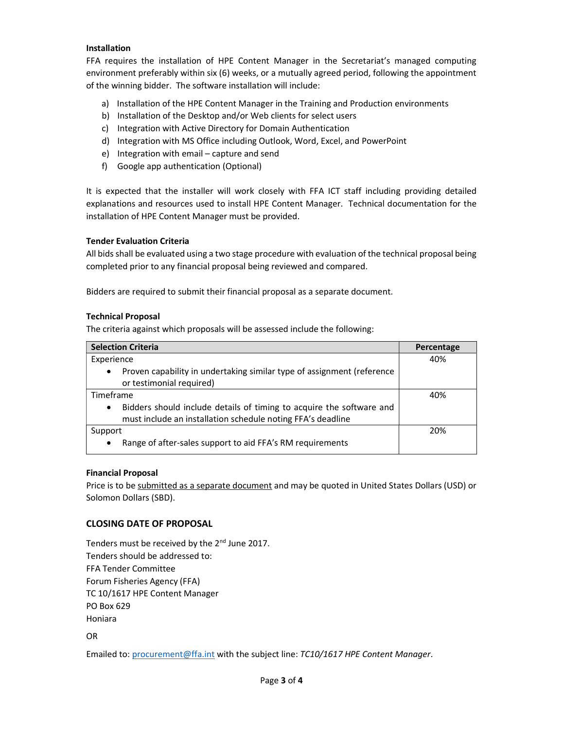## Installation

FFA requires the installation of HPE Content Manager in the Secretariat's managed computing environment preferably within six (6) weeks, or a mutually agreed period, following the appointment of the winning bidder. The software installation will include:

- a) Installation of the HPE Content Manager in the Training and Production environments
- b) Installation of the Desktop and/or Web clients for select users
- c) Integration with Active Directory for Domain Authentication
- d) Integration with MS Office including Outlook, Word, Excel, and PowerPoint
- e) Integration with email capture and send
- f) Google app authentication (Optional)

It is expected that the installer will work closely with FFA ICT staff including providing detailed explanations and resources used to install HPE Content Manager. Technical documentation for the installation of HPE Content Manager must be provided.

## Tender Evaluation Criteria

All bids shall be evaluated using a two stage procedure with evaluation of the technical proposal being completed prior to any financial proposal being reviewed and compared.

Bidders are required to submit their financial proposal as a separate document.

#### Technical Proposal

The criteria against which proposals will be assessed include the following:

| <b>Selection Criteria</b>                                                           | Percentage |
|-------------------------------------------------------------------------------------|------------|
| Experience                                                                          | 40%        |
| Proven capability in undertaking similar type of assignment (reference<br>$\bullet$ |            |
| or testimonial required)                                                            |            |
| Timeframe                                                                           | 40%        |
| Bidders should include details of timing to acquire the software and<br>$\bullet$   |            |
| must include an installation schedule noting FFA's deadline                         |            |
| Support                                                                             | 20%        |
| Range of after-sales support to aid FFA's RM requirements<br>$\bullet$              |            |

#### Financial Proposal

Price is to be submitted as a separate document and may be quoted in United States Dollars (USD) or Solomon Dollars (SBD).

# CLOSING DATE OF PROPOSAL

Tenders must be received by the 2<sup>nd</sup> June 2017. Tenders should be addressed to: FFA Tender Committee Forum Fisheries Agency (FFA) TC 10/1617 HPE Content Manager PO Box 629 Honiara

OR

Emailed to: procurement@ffa.int with the subject line: TC10/1617 HPE Content Manager.